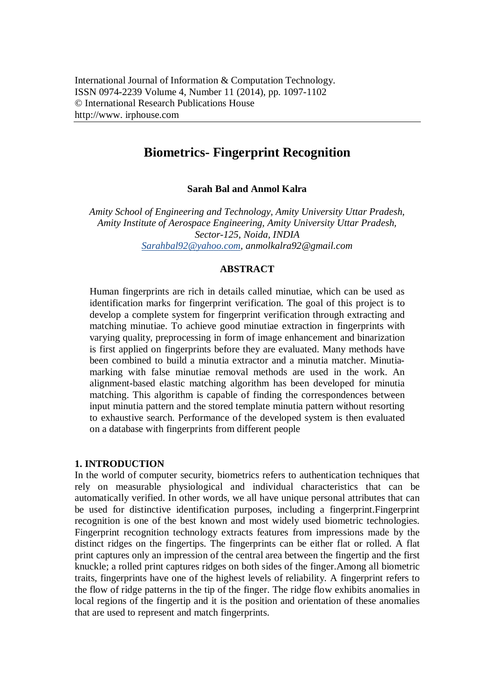# **Biometrics- Fingerprint Recognition**

**Sarah Bal and Anmol Kalra**

*Amity School of Engineering and Technology, Amity University Uttar Pradesh, Amity Institute of Aerospace Engineering, Amity University Uttar Pradesh, Sector-125, Noida, INDIA Sarahbal92@yahoo.com, anmolkalra92@gmail.com*

## **ABSTRACT**

Human fingerprints are rich in details called minutiae, which can be used as identification marks for fingerprint verification. The goal of this project is to develop a complete system for fingerprint verification through extracting and matching minutiae. To achieve good minutiae extraction in fingerprints with varying quality, preprocessing in form of image enhancement and binarization is first applied on fingerprints before they are evaluated. Many methods have been combined to build a minutia extractor and a minutia matcher. Minutiamarking with false minutiae removal methods are used in the work. An alignment-based elastic matching algorithm has been developed for minutia matching. This algorithm is capable of finding the correspondences between input minutia pattern and the stored template minutia pattern without resorting to exhaustive search. Performance of the developed system is then evaluated on a database with fingerprints from different people

#### **1. INTRODUCTION**

In the world of computer security, biometrics refers to authentication techniques that rely on measurable physiological and individual characteristics that can be automatically verified. In other words, we all have unique personal attributes that can be used for distinctive identification purposes, including a fingerprint.Fingerprint recognition is one of the best known and most widely used biometric technologies. Fingerprint recognition technology extracts features from impressions made by the distinct ridges on the fingertips. The fingerprints can be either flat or rolled. A flat print captures only an impression of the central area between the fingertip and the first knuckle; a rolled print captures ridges on both sides of the finger.Among all biometric traits, fingerprints have one of the highest levels of reliability. A fingerprint refers to the flow of ridge patterns in the tip of the finger. The ridge flow exhibits anomalies in local regions of the fingertip and it is the position and orientation of these anomalies that are used to represent and match fingerprints.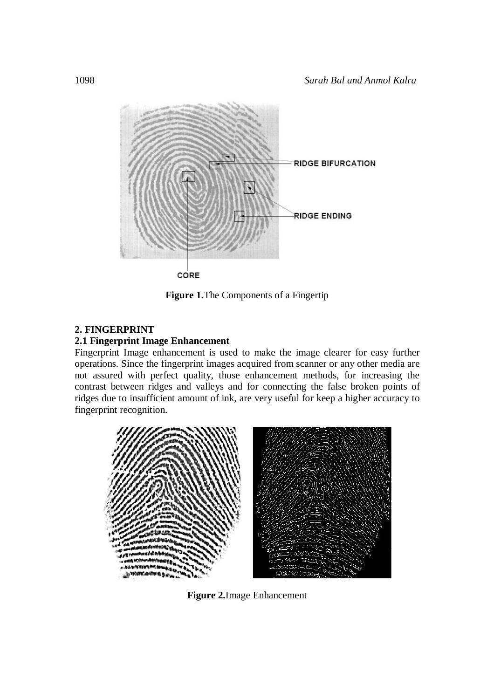

**Figure 1.**The Components of a Fingertip

## **2. FINGERPRINT**

## **2.1 Fingerprint Image Enhancement**

Fingerprint Image enhancement is used to make the image clearer for easy further operations. Since the fingerprint images acquired from scanner or any other media are not assured with perfect quality, those enhancement methods, for increasing the contrast between ridges and valleys and for connecting the false broken points of ridges due to insufficient amount of ink, are very useful for keep a higher accuracy to fingerprint recognition.



**Figure 2.**Image Enhancement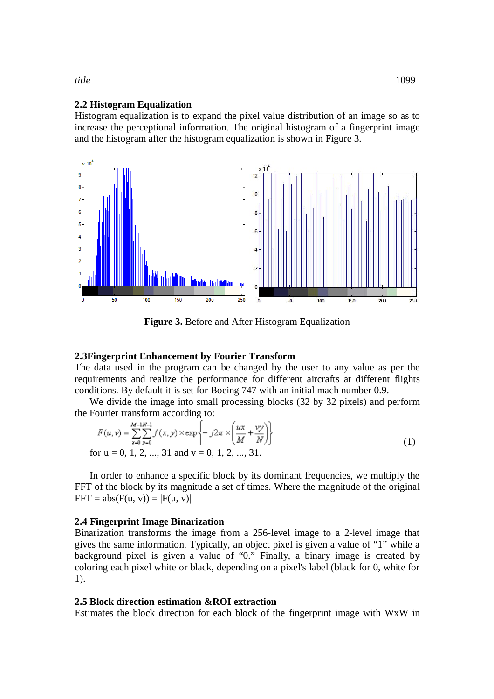#### **2.2 Histogram Equalization**

Histogram equalization is to expand the pixel value distribution of an image so as to increase the perceptional information. The original histogram of a fingerprint image and the histogram after the histogram equalization is shown in Figure 3.



**Figure 3.** Before and After Histogram Equalization

#### **2.3Fingerprint Enhancement by Fourier Transform**

The data used in the program can be changed by the user to any value as per the requirements and realize the performance for different aircrafts at different flights conditions. By default it is set for Boeing 747 with an initial mach number 0.9.

We divide the image into small processing blocks (32 by 32 pixels) and perform the Fourier transform according to:

$$
F(u, v) = \sum_{x=0}^{M-1} \sum_{y=0}^{N-1} f(x, y) \times \exp\left\{-j2\pi \times \left(\frac{ux}{M} + \frac{vy}{N}\right)\right\}
$$
(1)

for 
$$
u = 0, 1, 2, ..., 31
$$
 and  $v = 0, 1, 2, ..., 31$ .

In order to enhance a specific block by its dominant frequencies, we multiply the FFT of the block by its magnitude a set of times. Where the magnitude of the original  $FFT = abs(F(u, v)) = |F(u, v)|$ 

#### **2.4 Fingerprint Image Binarization**

Binarization transforms the image from a 256-level image to a 2-level image that gives the same information. Typically, an object pixel is given a value of "1" while a background pixel is given a value of "0." Finally, a binary image is created by coloring each pixel white or black, depending on a pixel's label (black for 0, white for 1).

#### **2.5 Block direction estimation &ROI extraction**

Estimates the block direction for each block of the fingerprint image with WxW in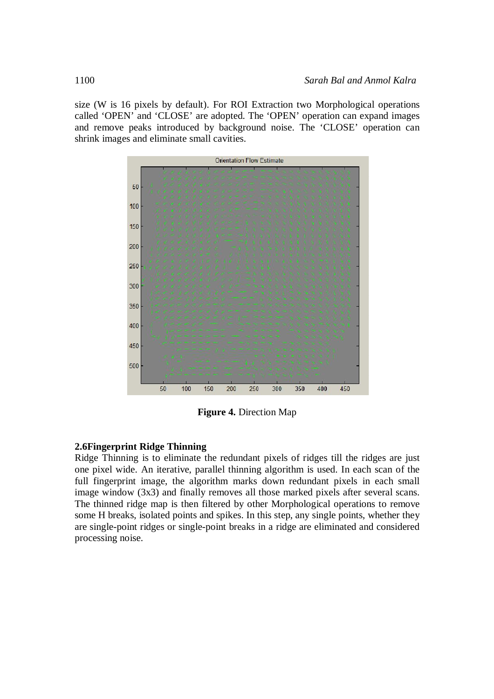size (W is 16 pixels by default). For ROI Extraction two Morphological operations called 'OPEN' and 'CLOSE' are adopted. The 'OPEN' operation can expand images and remove peaks introduced by background noise. The 'CLOSE' operation can shrink images and eliminate small cavities.



**Figure 4.** Direction Map

#### **2.6Fingerprint Ridge Thinning**

Ridge Thinning is to eliminate the redundant pixels of ridges till the ridges are just one pixel wide. An iterative, parallel thinning algorithm is used. In each scan of the full fingerprint image, the algorithm marks down redundant pixels in each small image window (3x3) and finally removes all those marked pixels after several scans. The thinned ridge map is then filtered by other Morphological operations to remove some H breaks, isolated points and spikes. In this step, any single points, whether they are single-point ridges or single-point breaks in a ridge are eliminated and considered processing noise.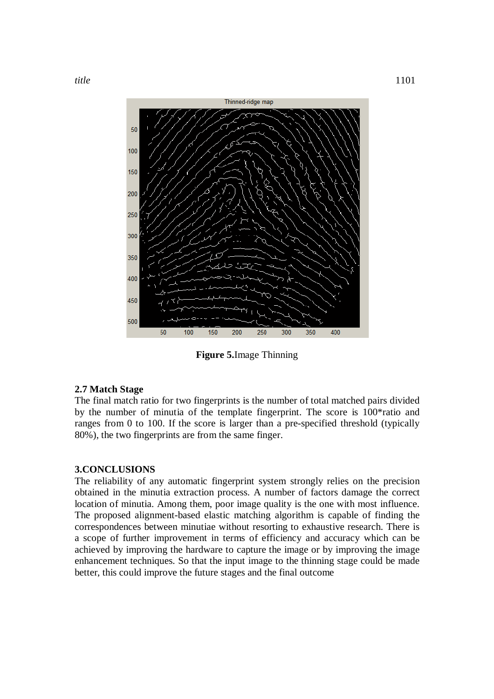

**Figure 5.**Image Thinning

## **2.7 Match Stage**

The final match ratio for two fingerprints is the number of total matched pairs divided by the number of minutia of the template fingerprint. The score is 100\*ratio and ranges from 0 to 100. If the score is larger than a pre-specified threshold (typically 80%), the two fingerprints are from the same finger.

#### **3.CONCLUSIONS**

The reliability of any automatic fingerprint system strongly relies on the precision obtained in the minutia extraction process. A number of factors damage the correct location of minutia. Among them, poor image quality is the one with most influence. The proposed alignment-based elastic matching algorithm is capable of finding the correspondences between minutiae without resorting to exhaustive research. There is a scope of further improvement in terms of efficiency and accuracy which can be achieved by improving the hardware to capture the image or by improving the image enhancement techniques. So that the input image to the thinning stage could be made better, this could improve the future stages and the final outcome